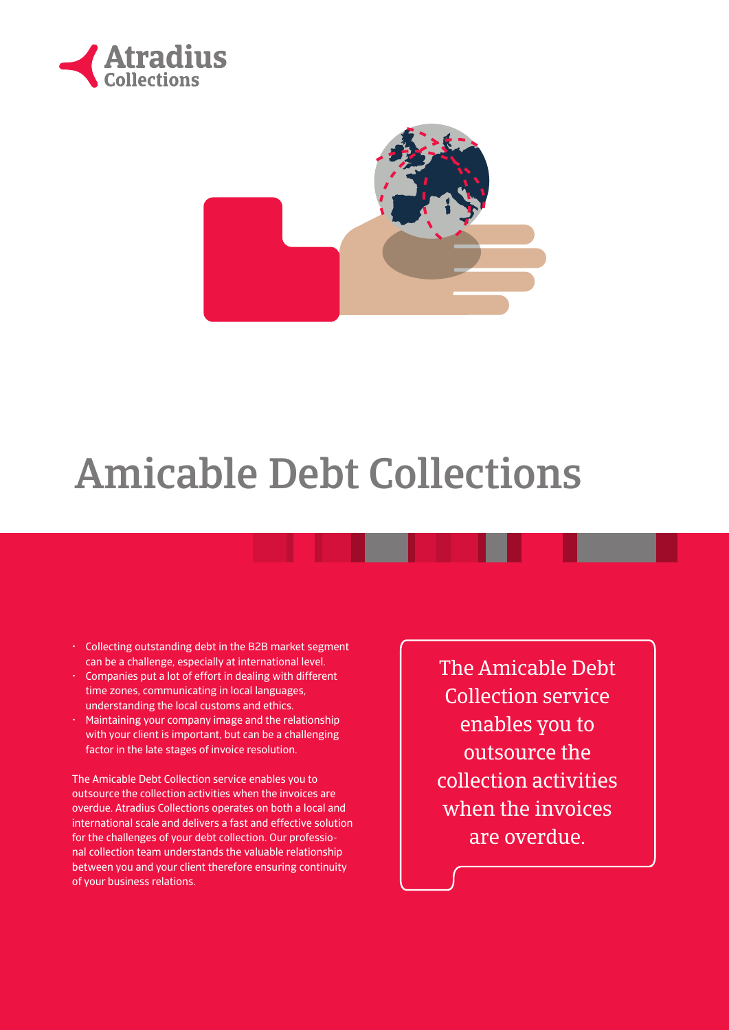



## Amicable Debt Collections

- Collecting outstanding debt in the B2B market segment can be a challenge, especially at international level.
- Companies put a lot of effort in dealing with different time zones, communicating in local languages, understanding the local customs and ethics.
- Maintaining your company image and the relationship with your client is important, but can be a challenging factor in the late stages of invoice resolution.

The Amicable Debt Collection service enables you to outsource the collection activities when the invoices are overdue. Atradius Collections operates on both a local and international scale and delivers a fast and effective solution for the challenges of your debt collection. Our professional collection team understands the valuable relationship between you and your client therefore ensuring continuity of your business relations.

The Amicable Debt Collection service enables you to outsource the collection activities when the invoices are overdue.